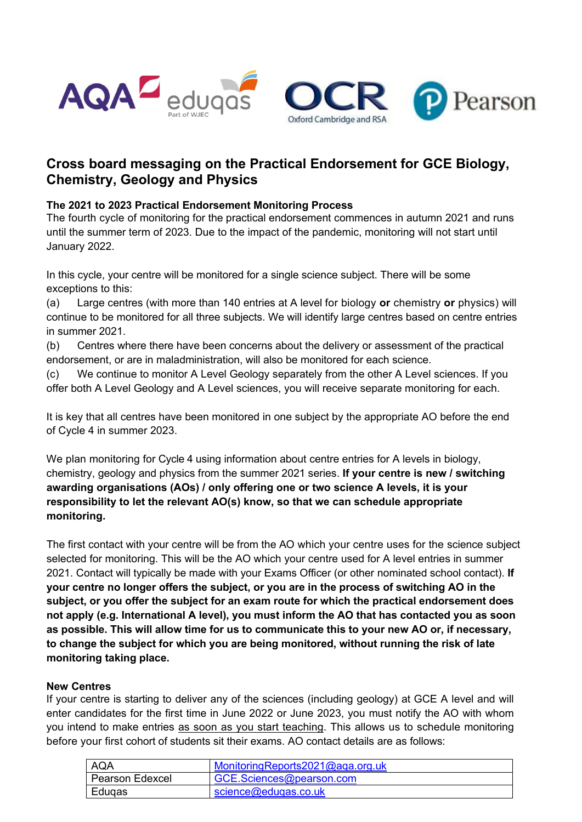



# **Cross board messaging on the Practical Endorsement for GCE Biology, Chemistry, Geology and Physics**

## **The 2021 to 2023 Practical Endorsement Monitoring Process**

The fourth cycle of monitoring for the practical endorsement commences in autumn 2021 and runs until the summer term of 2023. Due to the impact of the pandemic, monitoring will not start until January 2022.

In this cycle, your centre will be monitored for a single science subject. There will be some exceptions to this:

(a) Large centres (with more than 140 entries at A level for biology **or** chemistry **or** physics) will continue to be monitored for all three subjects. We will identify large centres based on centre entries in summer 2021.

(b) Centres where there have been concerns about the delivery or assessment of the practical endorsement, or are in maladministration, will also be monitored for each science.

(c) We continue to monitor A Level Geology separately from the other A Level sciences. If you offer both A Level Geology and A Level sciences, you will receive separate monitoring for each.

It is key that all centres have been monitored in one subject by the appropriate AO before the end of Cycle 4 in summer 2023.

We plan monitoring for Cycle 4 using information about centre entries for A levels in biology, chemistry, geology and physics from the summer 2021 series. **If your centre is new / switching awarding organisations (AOs) / only offering one or two science A levels, it is your responsibility to let the relevant AO(s) know, so that we can schedule appropriate monitoring.** 

The first contact with your centre will be from the AO which your centre uses for the science subject selected for monitoring. This will be the AO which your centre used for A level entries in summer 2021. Contact will typically be made with your Exams Officer (or other nominated school contact). **If your centre no longer offers the subject, or you are in the process of switching AO in the subject, or you offer the subject for an exam route for which the practical endorsement does not apply (e.g. International A level), you must inform the AO that has contacted you as soon as possible. This will allow time for us to communicate this to your new AO or, if necessary, to change the subject for which you are being monitored, without running the risk of late monitoring taking place.**

### **New Centres**

If your centre is starting to deliver any of the sciences (including geology) at GCE A level and will enter candidates for the first time in June 2022 or June 2023, you must notify the AO with whom you intend to make entries as soon as you start teaching. This allows us to schedule monitoring before your first cohort of students sit their exams. AO contact details are as follows:

| <b>AQA</b>        | MonitoringReports2021@aga.org.uk |
|-------------------|----------------------------------|
| l Pearson Edexcel | GCE.Sciences@pearson.com         |
| Edugas            | science@eduqas.co.uk             |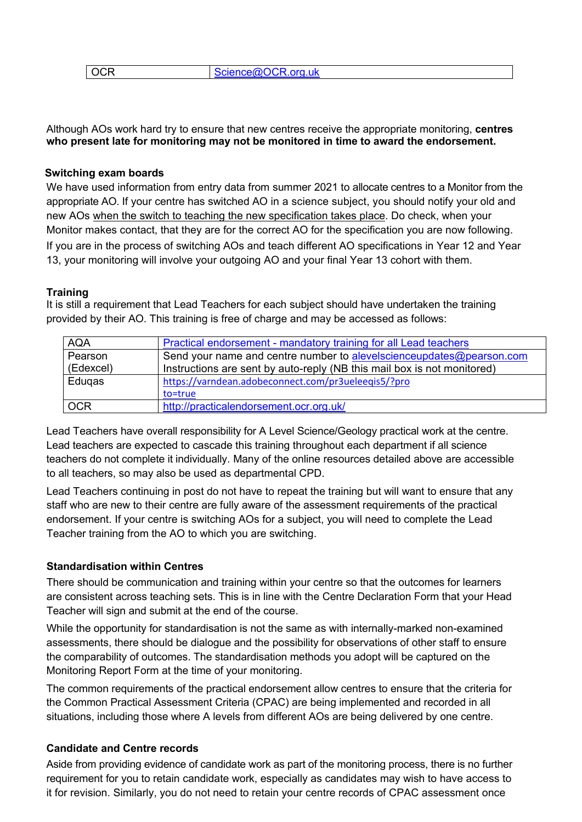| $\overline{)$ OCR | Science@OCR.org.uk |
|-------------------|--------------------|
|                   |                    |

Although AOs work hard try to ensure that new centres receive the appropriate monitoring, **centres who present late for monitoring may not be monitored in time to award the endorsement.**

#### **Switching exam boards**

We have used information from entry data from summer 2021 to allocate centres to a Monitor from the appropriate AO. If your centre has switched AO in a science subject, you should notify your old and new AOs when the switch to teaching the new specification takes place. Do check, when your Monitor makes contact, that they are for the correct AO for the specification you are now following. If you are in the process of switching AOs and teach different AO specifications in Year 12 and Year 13, your monitoring will involve your outgoing AO and your final Year 13 cohort with them.

#### **Training**

It is still a requirement that Lead Teachers for each subject should have undertaken the training provided by their AO. This training is free of charge and may be accessed as follows:

| <b>AQA</b> | Practical endorsement - mandatory training for all Lead teachers        |
|------------|-------------------------------------------------------------------------|
| Pearson    | Send your name and centre number to alevelscienceupdates@pearson.com    |
| (Edexcel)  | Instructions are sent by auto-reply (NB this mail box is not monitored) |
| Edugas     | https://varndean.adobeconnect.com/pr3ueleeqis5/?pro                     |
|            | to=true                                                                 |
| <b>OCR</b> | http://practicalendorsement.ocr.org.uk/                                 |

Lead Teachers have overall responsibility for A Level Science/Geology practical work at the centre. Lead teachers are expected to cascade this training throughout each department if all science teachers do not complete it individually. Many of the online resources detailed above are accessible to all teachers, so may also be used as departmental CPD.

Lead Teachers continuing in post do not have to repeat the training but will want to ensure that any staff who are new to their centre are fully aware of the assessment requirements of the practical endorsement. If your centre is switching AOs for a subject, you will need to complete the Lead Teacher training from the AO to which you are switching.

### **Standardisation within Centres**

There should be communication and training within your centre so that the outcomes for learners are consistent across teaching sets. This is in line with the Centre Declaration Form that your Head Teacher will sign and submit at the end of the course.

While the opportunity for standardisation is not the same as with internally-marked non-examined assessments, there should be dialogue and the possibility for observations of other staff to ensure the comparability of outcomes. The standardisation methods you adopt will be captured on the Monitoring Report Form at the time of your monitoring.

The common requirements of the practical endorsement allow centres to ensure that the criteria for the Common Practical Assessment Criteria (CPAC) are being implemented and recorded in all situations, including those where A levels from different AOs are being delivered by one centre.

### **Candidate and Centre records**

Aside from providing evidence of candidate work as part of the monitoring process, there is no further requirement for you to retain candidate work, especially as candidates may wish to have access to it for revision. Similarly, you do not need to retain your centre records of CPAC assessment once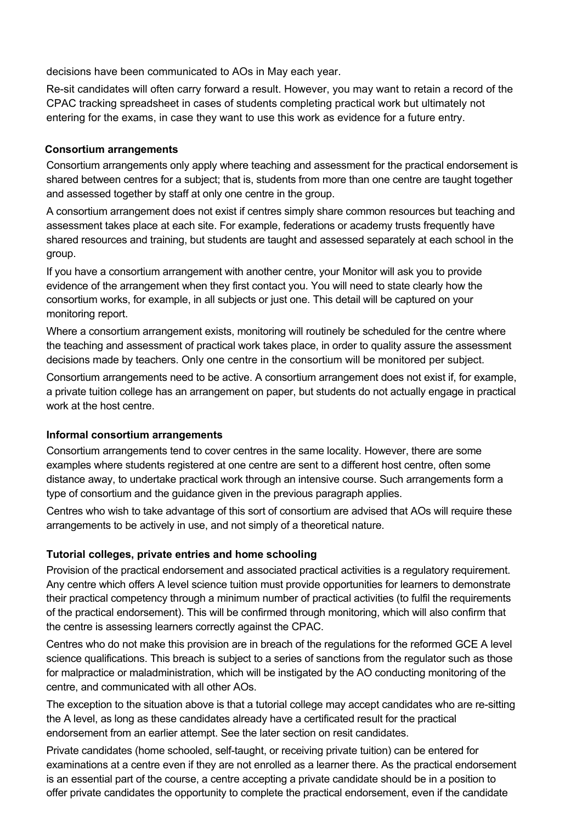decisions have been communicated to AOs in May each year.

Re-sit candidates will often carry forward a result. However, you may want to retain a record of the CPAC tracking spreadsheet in cases of students completing practical work but ultimately not entering for the exams, in case they want to use this work as evidence for a future entry.

## **Consortium arrangements**

Consortium arrangements only apply where teaching and assessment for the practical endorsement is shared between centres for a subject; that is, students from more than one centre are taught together and assessed together by staff at only one centre in the group.

A consortium arrangement does not exist if centres simply share common resources but teaching and assessment takes place at each site. For example, federations or academy trusts frequently have shared resources and training, but students are taught and assessed separately at each school in the group.

If you have a consortium arrangement with another centre, your Monitor will ask you to provide evidence of the arrangement when they first contact you. You will need to state clearly how the consortium works, for example, in all subjects or just one. This detail will be captured on your monitoring report.

Where a consortium arrangement exists, monitoring will routinely be scheduled for the centre where the teaching and assessment of practical work takes place, in order to quality assure the assessment decisions made by teachers. Only one centre in the consortium will be monitored per subject.

Consortium arrangements need to be active. A consortium arrangement does not exist if, for example, a private tuition college has an arrangement on paper, but students do not actually engage in practical work at the host centre.

## **Informal consortium arrangements**

Consortium arrangements tend to cover centres in the same locality. However, there are some examples where students registered at one centre are sent to a different host centre, often some distance away, to undertake practical work through an intensive course. Such arrangements form a type of consortium and the guidance given in the previous paragraph applies.

Centres who wish to take advantage of this sort of consortium are advised that AOs will require these arrangements to be actively in use, and not simply of a theoretical nature.

## **Tutorial colleges, private entries and home schooling**

Provision of the practical endorsement and associated practical activities is a regulatory requirement. Any centre which offers A level science tuition must provide opportunities for learners to demonstrate their practical competency through a minimum number of practical activities (to fulfil the requirements of the practical endorsement). This will be confirmed through monitoring, which will also confirm that the centre is assessing learners correctly against the CPAC.

Centres who do not make this provision are in breach of the regulations for the reformed GCE A level science qualifications. This breach is subject to a series of sanctions from the regulator such as those for malpractice or maladministration, which will be instigated by the AO conducting monitoring of the centre, and communicated with all other AOs.

The exception to the situation above is that a tutorial college may accept candidates who are re-sitting the A level, as long as these candidates already have a certificated result for the practical endorsement from an earlier attempt. See the later section on resit candidates.

Private candidates (home schooled, self-taught, or receiving private tuition) can be entered for examinations at a centre even if they are not enrolled as a learner there. As the practical endorsement is an essential part of the course, a centre accepting a private candidate should be in a position to offer private candidates the opportunity to complete the practical endorsement, even if the candidate